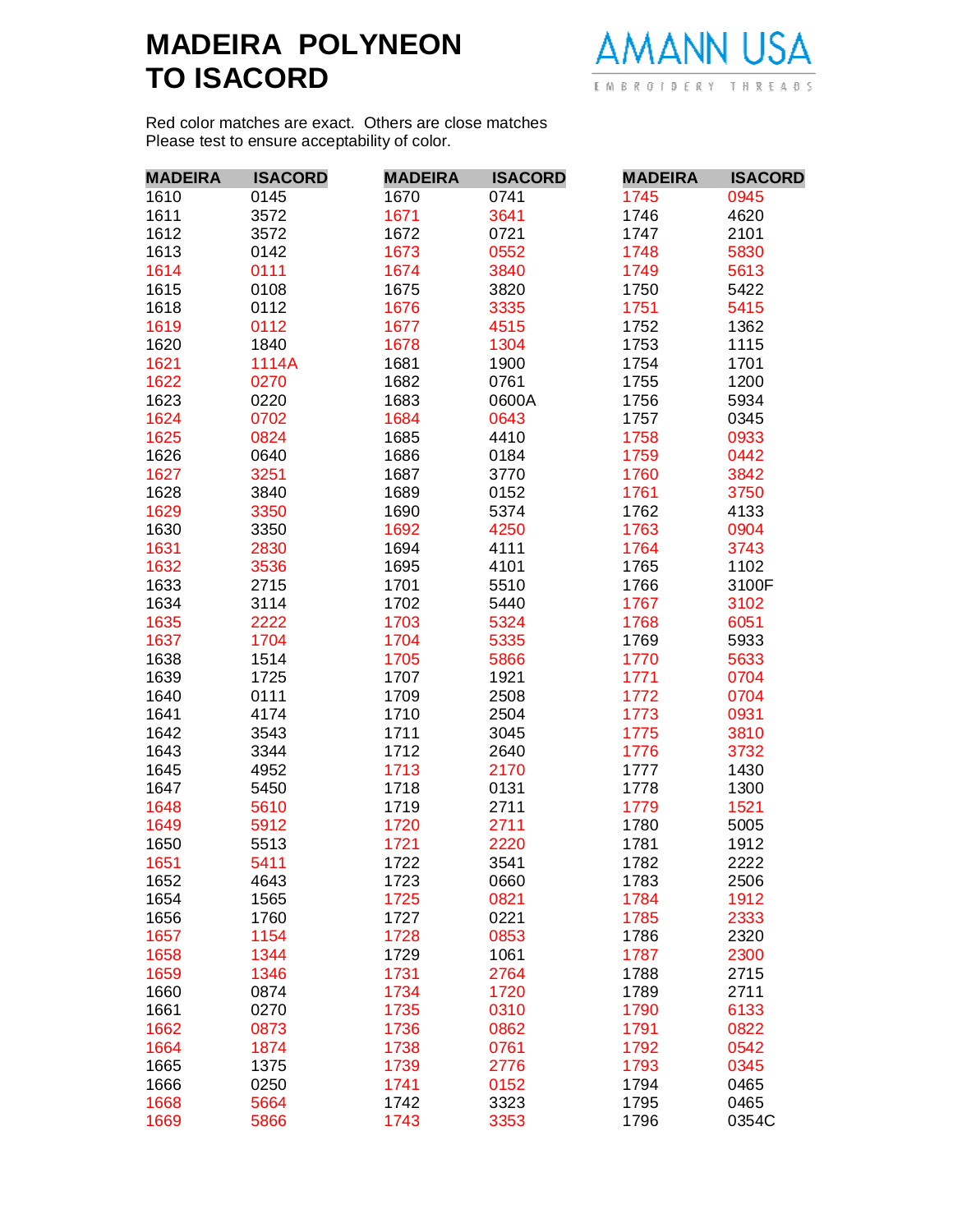## **MADEIRA POLYNEON TO ISACORD**



Red color matches are exact. Others are close matches Please test to ensure acceptability of color.

| <b>MADEIRA</b> | <b>ISACORD</b> | <b>MADEIRA</b> | <b>ISACORD</b> | <b>MADEIRA</b> | <b>ISACORD</b> |
|----------------|----------------|----------------|----------------|----------------|----------------|
| 1610           | 0145           | 1670           | 0741           | 1745           | 0945           |
| 1611           | 3572           | 1671           | 3641           | 1746           | 4620           |
| 1612           | 3572           | 1672           | 0721           | 1747           | 2101           |
| 1613           | 0142           | 1673           | 0552           | 1748           | 5830           |
| 1614           | 0111           | 1674           | 3840           | 1749           | 5613           |
| 1615           | 0108           | 1675           | 3820           | 1750           | 5422           |
| 1618           | 0112           | 1676           | 3335           | 1751           | 5415           |
| 1619           | 0112           | 1677           | 4515           | 1752           | 1362           |
| 1620           | 1840           | 1678           | 1304           | 1753           | 1115           |
| 1621           | 1114A          | 1681           | 1900           | 1754           | 1701           |
| 1622           | 0270           | 1682           | 0761           | 1755           | 1200           |
| 1623           | 0220           | 1683           | 0600A          | 1756           | 5934           |
| 1624           | 0702           | 1684           | 0643           | 1757           | 0345           |
| 1625           | 0824           | 1685           | 4410           | 1758           | 0933           |
| 1626           | 0640           | 1686           | 0184           | 1759           | 0442           |
| 1627           | 3251           | 1687           | 3770           | 1760           | 3842           |
|                |                |                |                |                |                |
| 1628           | 3840           | 1689           | 0152           | 1761           | 3750           |
| 1629           | 3350           | 1690           | 5374           | 1762           | 4133           |
| 1630           | 3350           | 1692           | 4250           | 1763           | 0904           |
| 1631           | 2830           | 1694           | 4111           | 1764           | 3743           |
| 1632           | 3536           | 1695           | 4101           | 1765           | 1102           |
| 1633           | 2715           | 1701           | 5510           | 1766           | 3100F          |
| 1634           | 3114           | 1702           | 5440           | 1767           | 3102           |
| 1635           | 2222           | 1703           | 5324           | 1768           | 6051           |
| 1637           | 1704           | 1704           | 5335           | 1769           | 5933           |
| 1638           | 1514           | 1705           | 5866           | 1770           | 5633           |
| 1639           | 1725           | 1707           | 1921           | 1771           | 0704           |
| 1640           | 0111           | 1709           | 2508           | 1772           | 0704           |
| 1641           | 4174           | 1710           | 2504           | 1773           | 0931           |
| 1642           | 3543           | 1711           | 3045           | 1775           | 3810           |
| 1643           | 3344           | 1712           | 2640           | 1776           | 3732           |
| 1645           | 4952           | 1713           | 2170           | 1777           | 1430           |
| 1647           | 5450           | 1718           | 0131           | 1778           | 1300           |
| 1648           | 5610           | 1719           | 2711           | 1779           | 1521           |
| 1649           | 5912           | 1720           | 2711           | 1780           | 5005           |
| 1650           | 5513           | 1721           | 2220           | 1781           | 1912           |
| 1651           | 5411           | 1722           | 3541           | 1782           | 2222           |
| 1652           | 4643           | 1723           | 0660           | 1783           | 2506           |
| 1654           | 1565           | 1725           | 0821           | 1784           | 1912           |
| 1656           | 1760           | 1727           | 0221           | 1785           | 2333           |
| 1657           | 1154           | 1728           | 0853           | 1786           | 2320           |
| 1658           | 1344           | 1729           | 1061           | 1787           | 2300           |
| 1659           | 1346           | 1731           | 2764           | 1788           | 2715           |
| 1660           | 0874           | 1734           | 1720           | 1789           | 2711           |
| 1661           | 0270           | 1735           | 0310           | 1790           | 6133           |
| 1662           | 0873           | 1736           | 0862           | 1791           | 0822           |
| 1664           | 1874           | 1738           | 0761           | 1792           | 0542           |
| 1665           | 1375           | 1739           | 2776           | 1793           | 0345           |
| 1666           | 0250           | 1741           | 0152           | 1794           | 0465           |
| 1668           | 5664           | 1742           | 3323           | 1795           | 0465           |
| 1669           | 5866           | 1743           | 3353           | 1796           | 0354C          |
|                |                |                |                |                |                |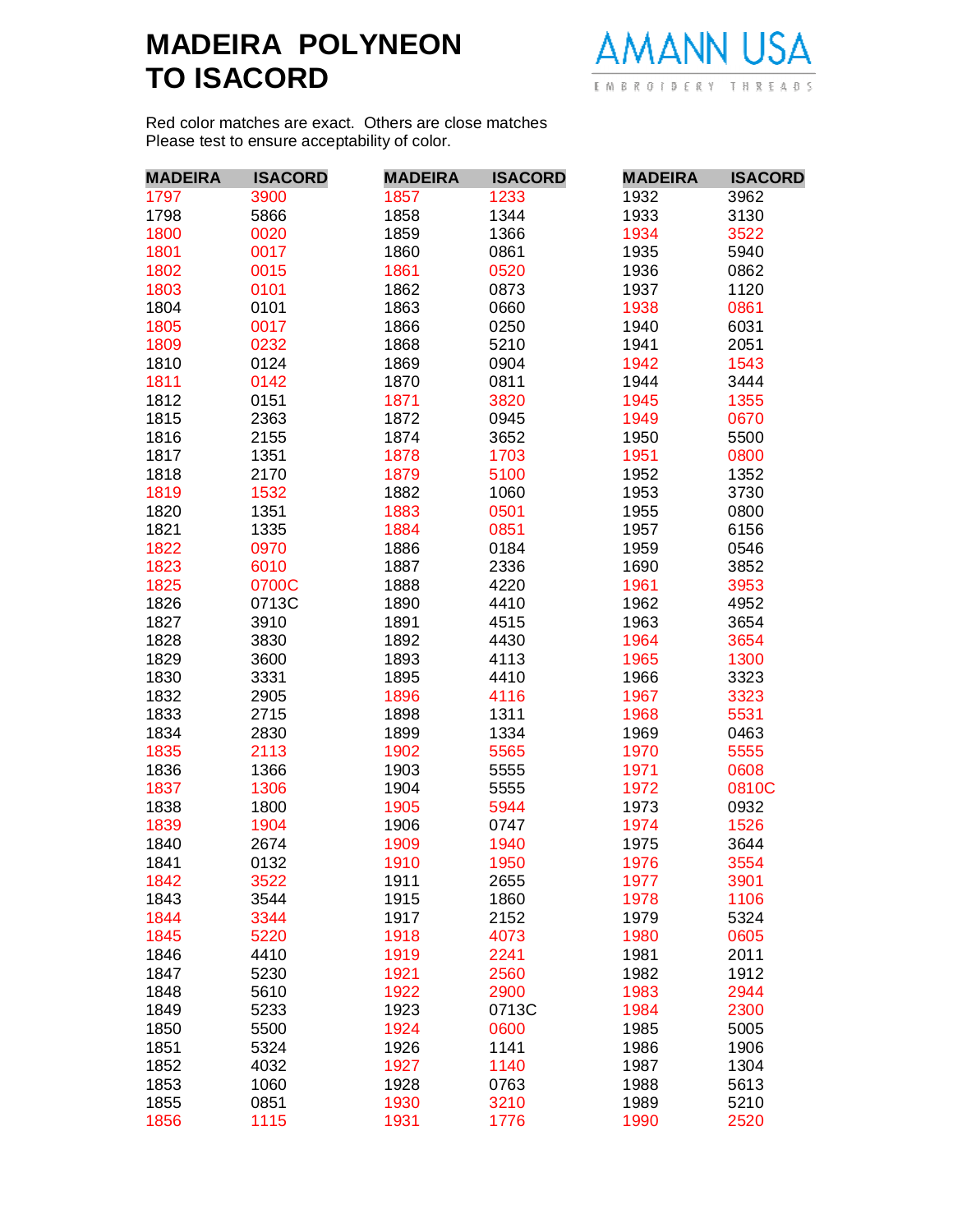## **MADEIRA POLYNEON TO ISACORD**



Red color matches are exact. Others are close matches Please test to ensure acceptability of color.

| <b>MADEIRA</b> | <b>ISACORD</b> | <b>MADEIRA</b> | <b>ISACORD</b> | <b>MADEIRA</b> | <b>ISACORD</b> |
|----------------|----------------|----------------|----------------|----------------|----------------|
| 1797           | 3900           | 1857           | 1233           | 1932           | 3962           |
| 1798           | 5866           | 1858           | 1344           | 1933           | 3130           |
| 1800           | 0020           | 1859           | 1366           | 1934           | 3522           |
| 1801           | 0017           | 1860           | 0861           | 1935           | 5940           |
| 1802           | 0015           | 1861           | 0520           | 1936           | 0862           |
| 1803           | 0101           | 1862           | 0873           | 1937           | 1120           |
| 1804           | 0101           | 1863           | 0660           | 1938           | 0861           |
| 1805           | 0017           | 1866           | 0250           | 1940           | 6031           |
| 1809           | 0232           | 1868           | 5210           | 1941           | 2051           |
| 1810           | 0124           | 1869           | 0904           | 1942           | 1543           |
| 1811           | 0142           | 1870           | 0811           | 1944           | 3444           |
| 1812           | 0151           | 1871           | 3820           | 1945           | 1355           |
| 1815           | 2363           | 1872           | 0945           | 1949           | 0670           |
| 1816           | 2155           | 1874           | 3652           | 1950           | 5500           |
| 1817           | 1351           | 1878           | 1703           | 1951           | 0800           |
| 1818           | 2170           | 1879           | 5100           | 1952           | 1352           |
| 1819           | 1532           | 1882           | 1060           | 1953           | 3730           |
| 1820           | 1351           | 1883           | 0501           | 1955           | 0800           |
| 1821           | 1335           | 1884           | 0851           | 1957           | 6156           |
| 1822           | 0970           | 1886           | 0184           | 1959           | 0546           |
| 1823           | 6010           | 1887           | 2336           | 1690           | 3852           |
| 1825           | 0700C          | 1888           | 4220           | 1961           | 3953           |
| 1826           | 0713C          | 1890           | 4410           | 1962           | 4952           |
|                |                |                |                |                |                |
| 1827           | 3910           | 1891           | 4515           | 1963           | 3654           |
| 1828           | 3830           | 1892           | 4430           | 1964           | 3654           |
| 1829           | 3600           | 1893           | 4113           | 1965           | 1300           |
| 1830           | 3331           | 1895           | 4410           | 1966           | 3323           |
| 1832           | 2905           | 1896           | 4116           | 1967           | 3323           |
| 1833           | 2715           | 1898           | 1311           | 1968           | 5531           |
| 1834           | 2830           | 1899           | 1334           | 1969           | 0463           |
| 1835           | 2113           | 1902           | 5565           | 1970           | 5555           |
| 1836           | 1366           | 1903           | 5555           | 1971           | 0608           |
| 1837           | 1306           | 1904           | 5555           | 1972           | 0810C          |
| 1838           | 1800           | 1905           | 5944           | 1973           | 0932           |
| 1839           | 1904           | 1906           | 0747           | 1974           | 1526           |
| 1840           | 2674           | 1909           | 1940           | 1975           | 3644           |
| 1841           | 0132           | 1910           | 1950           | 1976           | 3554           |
| 1842           | 3522           | 1911           | 2655           | 1977           | 3901           |
| 1843           | 3544           | 1915           | 1860           | 1978           | 1106           |
| 1844           | 3344           | 1917           | 2152           | 1979           | 5324           |
| 1845           | 5220           | 1918           | 4073           | 1980           | 0605           |
| 1846           | 4410           | 1919           | 2241           | 1981           | 2011           |
| 1847           | 5230           | 1921           | 2560           | 1982           | 1912           |
| 1848           | 5610           | 1922           | 2900           | 1983           | 2944           |
| 1849           | 5233           | 1923           | 0713C          | 1984           | 2300           |
| 1850           | 5500           | 1924           | 0600           | 1985           | 5005           |
| 1851           | 5324           | 1926           | 1141           | 1986           | 1906           |
| 1852           | 4032           | 1927           | 1140           | 1987           | 1304           |
| 1853           | 1060           | 1928           | 0763           | 1988           | 5613           |
| 1855           | 0851           | 1930           | 3210           | 1989           | 5210           |
| 1856           | 1115           | 1931           | 1776           | 1990           | 2520           |